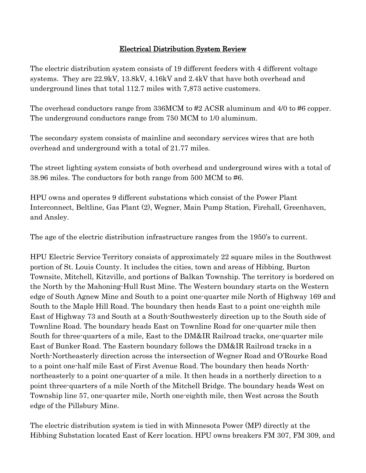## Electrical Distribution System Review

The electric distribution system consists of 19 different feeders with 4 different voltage systems. They are 22.9kV, 13.8kV, 4.16kV and 2.4kV that have both overhead and underground lines that total 112.7 miles with 7,873 active customers.

The overhead conductors range from 336MCM to #2 ACSR aluminum and 4/0 to #6 copper. The underground conductors range from 750 MCM to 1/0 aluminum.

The secondary system consists of mainline and secondary services wires that are both overhead and underground with a total of 21.77 miles.

The street lighting system consists of both overhead and underground wires with a total of 38.96 miles. The conductors for both range from 500 MCM to #6.

HPU owns and operates 9 different substations which consist of the Power Plant Interconnect, Beltline, Gas Plant (2), Wegner, Main Pump Station, Firehall, Greenhaven, and Ansley.

The age of the electric distribution infrastructure ranges from the 1950's to current.

HPU Electric Service Territory consists of approximately 22 square miles in the Southwest portion of St. Louis County. It includes the cities, town and areas of Hibbing, Burton Townsite, Mitchell, Kitzville, and portions of Balkan Township. The territory is bordered on the North by the Mahoning-Hull Rust Mine. The Western boundary starts on the Western edge of South Agnew Mine and South to a point one-quarter mile North of Highway 169 and South to the Maple Hill Road. The boundary then heads East to a point one-eighth mile East of Highway 73 and South at a South-Southwesterly direction up to the South side of Townline Road. The boundary heads East on Townline Road for one-quarter mile then South for three-quarters of a mile, East to the DM&IR Railroad tracks, one-quarter mile East of Bunker Road. The Eastern boundary follows the DM&IR Railroad tracks in a North-Northeasterly direction across the intersection of Wegner Road and O'Rourke Road to a point one-half mile East of First Avenue Road. The boundary then heads Northnortheasterly to a point one-quarter of a mile. It then heads in a northerly direction to a point three-quarters of a mile North of the Mitchell Bridge. The boundary heads West on Township line 57, one-quarter mile, North one-eighth mile, then West across the South edge of the Pillsbury Mine.

The electric distribution system is tied in with Minnesota Power (MP) directly at the Hibbing Substation located East of Kerr location. HPU owns breakers FM 307, FM 309, and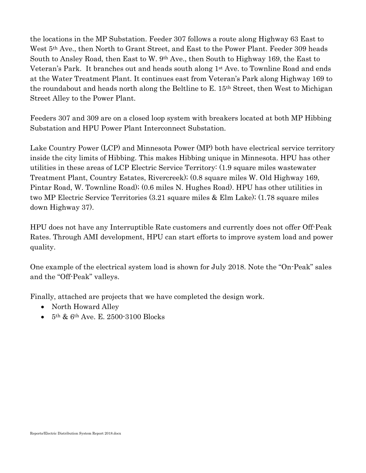the locations in the MP Substation. Feeder 307 follows a route along Highway 63 East to West 5th Ave., then North to Grant Street, and East to the Power Plant. Feeder 309 heads South to Ansley Road, then East to W. 9th Ave., then South to Highway 169, the East to Veteran's Park. It branches out and heads south along 1st Ave. to Townline Road and ends at the Water Treatment Plant. It continues east from Veteran's Park along Highway 169 to the roundabout and heads north along the Beltline to E. 15th Street, then West to Michigan Street Alley to the Power Plant.

Feeders 307 and 309 are on a closed loop system with breakers located at both MP Hibbing Substation and HPU Power Plant Interconnect Substation.

Lake Country Power (LCP) and Minnesota Power (MP) both have electrical service territory inside the city limits of Hibbing. This makes Hibbing unique in Minnesota. HPU has other utilities in these areas of LCP Electric Service Territory: (1.9 square miles wastewater Treatment Plant, Country Estates, Rivercreek); (0.8 square miles W. Old Highway 169, Pintar Road, W. Townline Road); (0.6 miles N. Hughes Road). HPU has other utilities in two MP Electric Service Territories (3.21 square miles & Elm Lake); (1.78 square miles down Highway 37).

HPU does not have any Interruptible Rate customers and currently does not offer Off-Peak Rates. Through AMI development, HPU can start efforts to improve system load and power quality.

One example of the electrical system load is shown for July 2018. Note the "On-Peak" sales and the "Off-Peak" valleys.

Finally, attached are projects that we have completed the design work.

- North Howard Alley
- $\bullet$  5<sup>th</sup> & 6<sup>th</sup> Ave. E. 2500-3100 Blocks